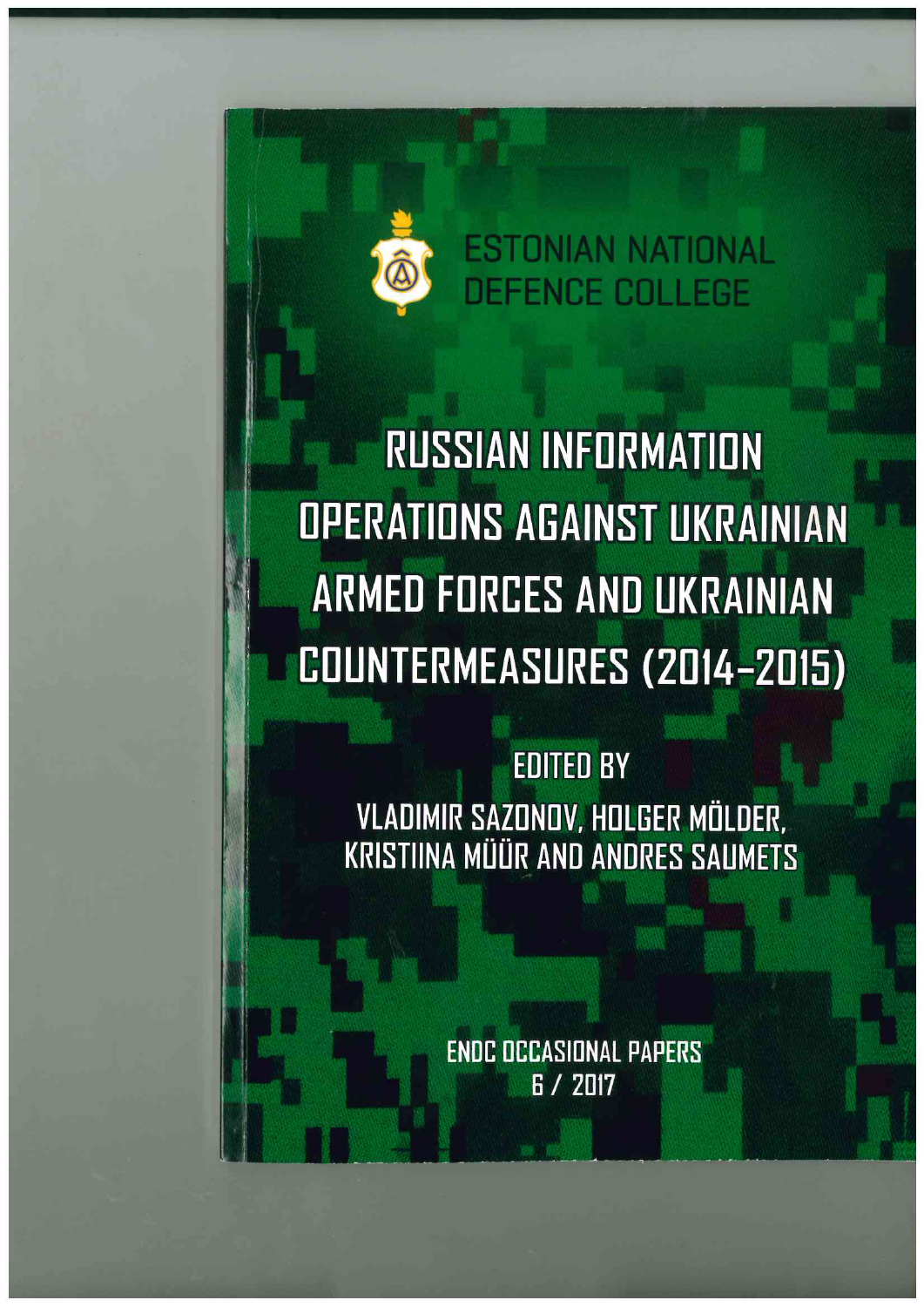

**RUSSIAN INFORMATION OPERATIONS AGAINST UKRAINIAN ARMED FORCES AND UKRAINIAN** COUNTERMEASURES (2014-2015)

**EDITED BY** VLADIMIR SAZONOV, HOLGER MÖLDER, **KRISTIINA MÜÜR AND ANDRES SAUMETS** 

> **ENDC OCCASIONAL PAPERS** R / 2017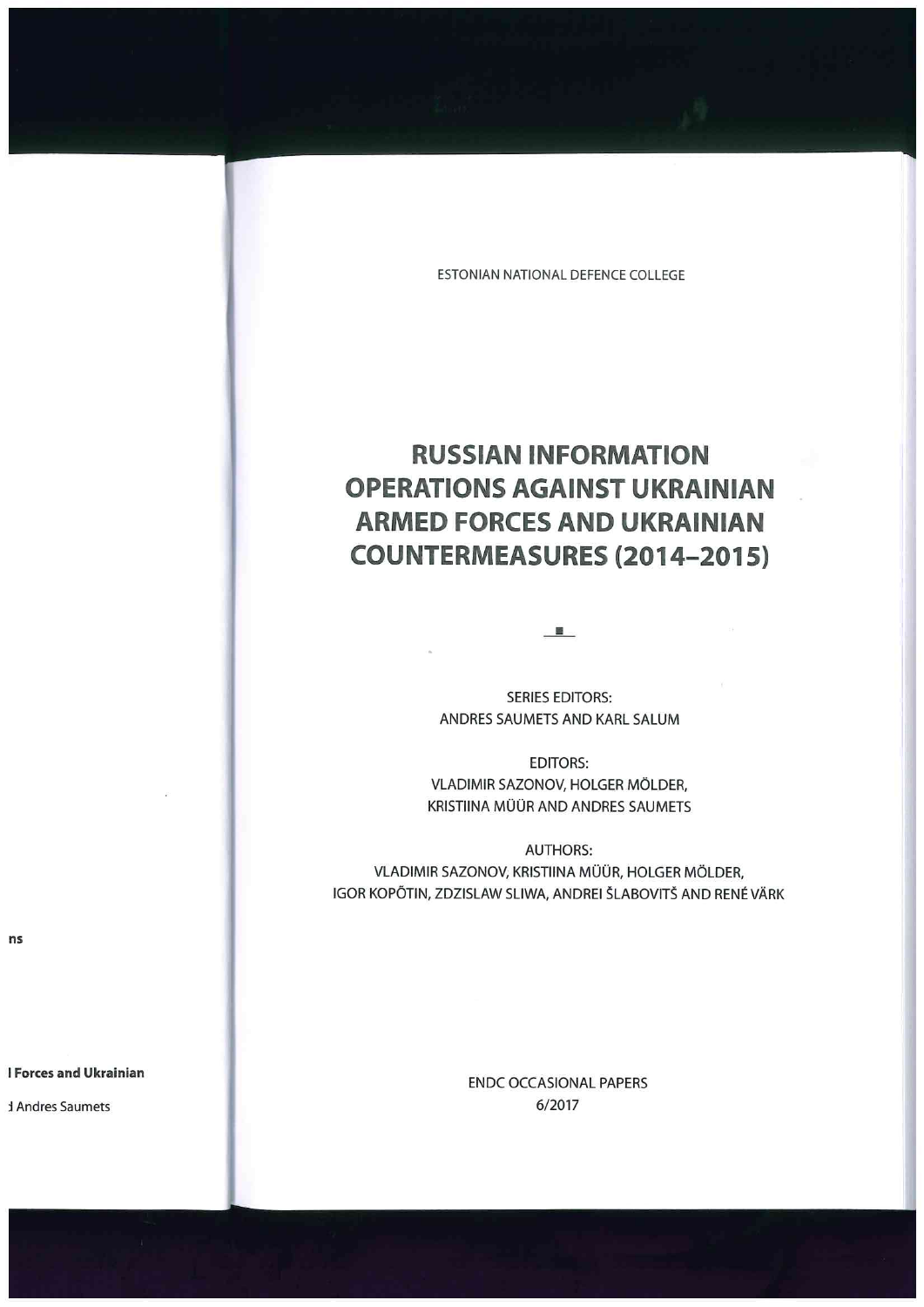# **RUSSIAN INFORMATION OPERATIONS AGAINST UKRAINIAN ARMED FORCES AND UKRAINIAN COUNTERMEASURES (2014-2015)**

SERIES EDITORS: ANDRES SAUMETS AND KARL SALUM

-·-

EDITORS: VLADIMIR SAZONOV, HOLGER MÖLDER, KRISTIINA MÜÜR AND ANDRES SAUMETS

AUTHORS: VLADIMIR SAZONOV, KRISTIINA MÜÜR, HOLGER MÖLDER, IGOR KOPÕTIN, ZDZISLAW SLIWA, ANDREI ŠLABOVITŠ AND RENÉ VÄRK

> ENDC OCCASIONAL PAPERS 6/2017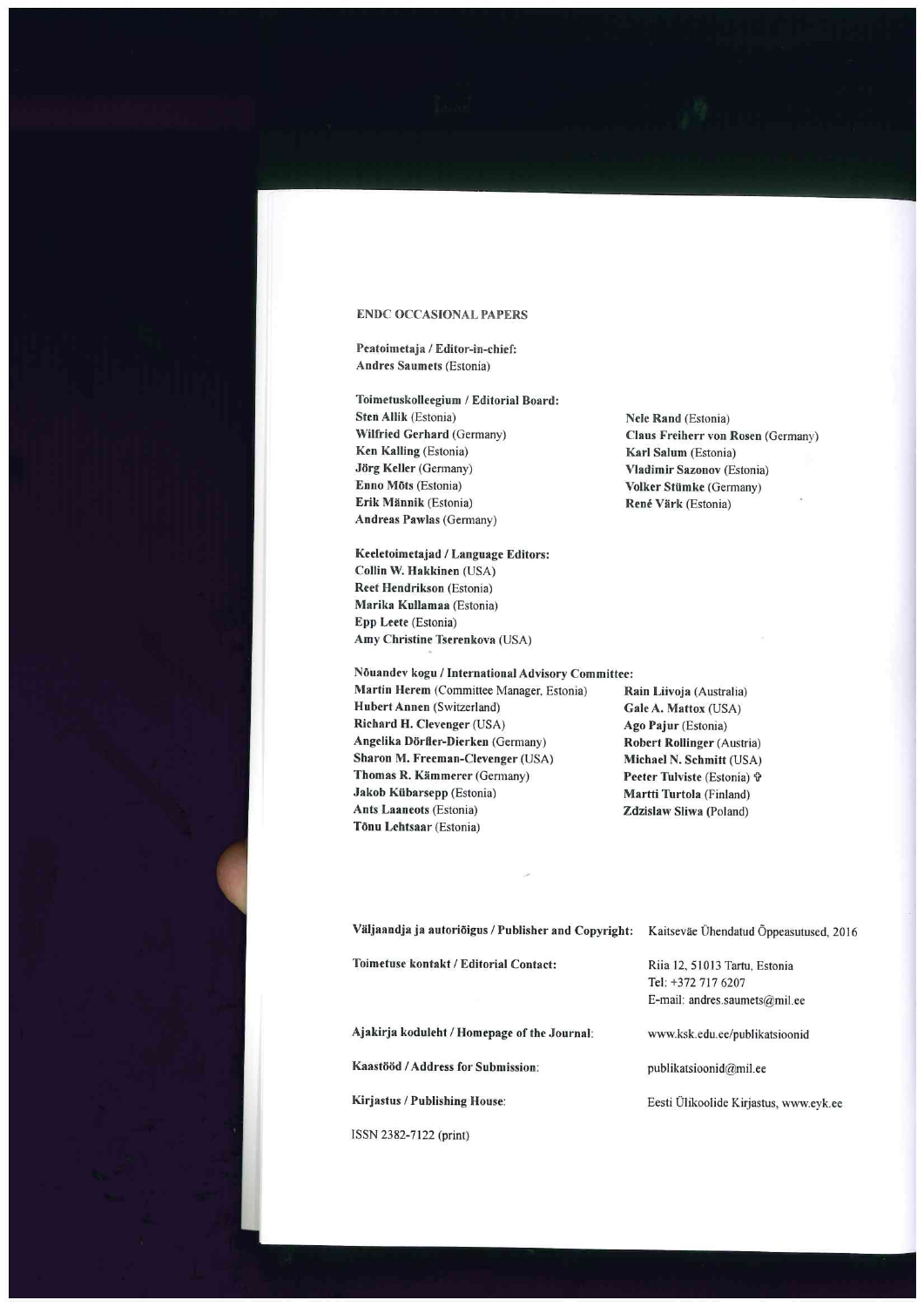#### **ENDC OCCASIONAL PAPERS**

**Peatoimetaja** / **Editor-in-chief: Andres Saumets** (Estonia)

**Toimetuskolleegium** / **Editorial Board: Sten Allik** (Estonia) **Wilfried Gerhard** (Germany) **Ken Kalling** (Estonia) **Jörg Keller** (Germany) **Enno Mots** (Estonia) **Erik Miinnik** (Estonia) **Andreas Pawlas** (Germany)

**Nele Rand** (Estonia) **Claus Freiherr von Rosen** (Germany) **Karl Salum** (Estonia) **Vladimir Sazonov** (Estonia) **Volker Stlimke** (Germany) **René Värk** (Estonia)

**Keeletoimetajad** / **Language Editors: Collin W. Hakkinen** (USA) **Reet Hendrikson** (Estonia) **Marika Kullamaa** (Estonia) **Epp Leete** (Estonia) **Amy Christine Tserenkova** (USA)

**Nouandev kogu** / **International Advisory Committee:** 

**Martin Herem** (Committee Manager, Estonia) **Hubert Annen** (Switzerland) **Richard H. Clevenger** (USA) Angelika Dörfler-Dierken (Germany) **Sharon M. Freeman-Clevenger** (USA) **Thomas R. Kämmerer (Germany) Jakob Klibarsepp** (Estonia) **Ants Laaneots** (Estonia) **Tonu Lehtsaar** (Estonia)

**Rain Liivoja** (Australia) **Gale A. Mattox** (USA) **Ago Pajur** (Estonia) **Robert Rollinger** (Austria) **Michael N. Schmitt** (USA) **Peeter Tulviste (Estonia)**  $\Phi$ **Martti Turtola** (Finland) **Zdzislaw Sliwa** (Poland)

| Väljaandja ja autoriõigus / Publisher and Copyright: | Kaitseväe Ühendatud Õppeasutused, 2016 |
|------------------------------------------------------|----------------------------------------|
| Toimetuse kontakt / Editorial Contact:               | Riia 12, 51013 Tartu, Estonia          |
|                                                      | Tel: +372 717 6207                     |
|                                                      | E-mail: andres.saumets@mil.ee          |
| Ajakirja koduleht / Homepage of the Journal:         | www.ksk.edu.ee/publikatsioonid         |
| Kaastööd / Address for Submission:                   | publikatsioonid@mil.ee                 |
| Kirjastus / Publishing House:                        | Eesti Ülikoolide Kirjastus, www.eyk.ee |
|                                                      |                                        |

ISSN 2382-7122 (print)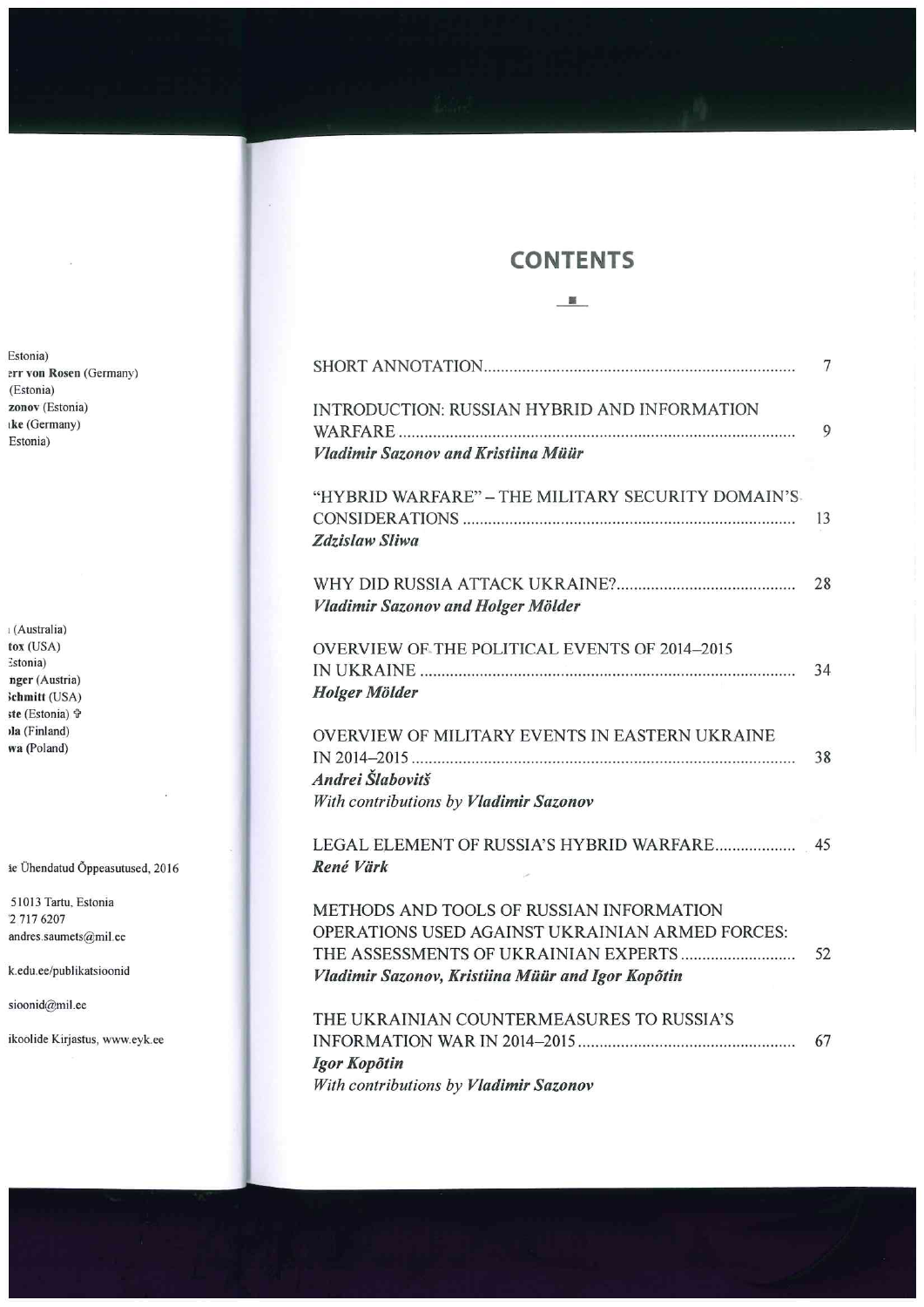## **CONTENTS**

-·-

|                                                                                                                                                  | 7  |
|--------------------------------------------------------------------------------------------------------------------------------------------------|----|
| <b>INTRODUCTION: RUSSIAN HYBRID AND INFORMATION</b><br><b>Vladimir Sazonov and Kristiina Müür</b>                                                | 9  |
| "HYBRID WARFARE" - THE MILITARY SECURITY DOMAIN'S<br>Zdzislaw Sliwa                                                                              | 13 |
| Vladimir Sazonov and Holger Mölder                                                                                                               | 28 |
| OVERVIEW OF THE POLITICAL EVENTS OF 2014-2015<br><b>Holger Mölder</b>                                                                            | 34 |
| OVERVIEW OF MILITARY EVENTS IN EASTERN UKRAINE<br>Andrei Šlabovitš<br>With contributions by Vladimir Sazonov                                     | 38 |
| René Värk                                                                                                                                        |    |
| METHODS AND TOOLS OF RUSSIAN INFORMATION<br>OPERATIONS USED AGAINST UKRAINIAN ARMED FORCES:<br>Vladimir Sazonov, Kristiina Müür and Igor Kopõtin | 52 |
| THE UKRAINIAN COUNTERMEASURES TO RUSSIA'S<br>Igor Kopõtin<br>With contributions by Vladimir Sazonov                                              | 67 |